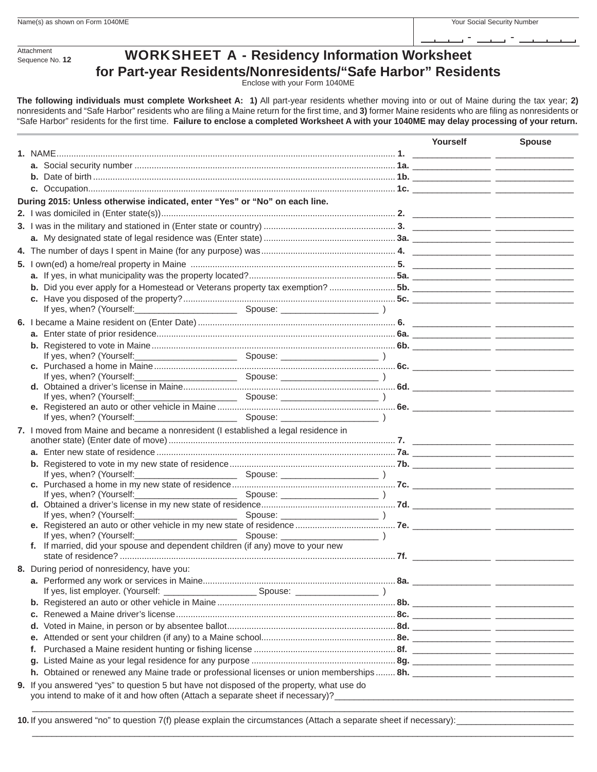- -

**Attachment** Sequence No. **12**

## WORKSHEET A - **Residency Information Worksheet for Part-year Residents/Nonresidents/"Safe Harbor" Residents**

Enclose with your Form 1040ME

**The following individuals must complete Worksheet A: 1)** All part-year residents whether moving into or out of Maine during the tax year; **2)** nonresidents and "Safe Harbor" residents who are filing a Maine return for the first time, and 3) former Maine residents who are filing as nonresidents or "Safe Harbor" residents for the first time. Failure to enclose a completed Worksheet A with your 1040ME may delay processing of your return.

|                                                                                                                                                                             | Yourself | <b>Spouse</b> |
|-----------------------------------------------------------------------------------------------------------------------------------------------------------------------------|----------|---------------|
|                                                                                                                                                                             |          |               |
|                                                                                                                                                                             |          |               |
|                                                                                                                                                                             |          |               |
|                                                                                                                                                                             |          |               |
| During 2015: Unless otherwise indicated, enter "Yes" or "No" on each line.                                                                                                  |          |               |
|                                                                                                                                                                             |          |               |
|                                                                                                                                                                             |          |               |
|                                                                                                                                                                             |          |               |
|                                                                                                                                                                             |          |               |
|                                                                                                                                                                             |          |               |
|                                                                                                                                                                             |          |               |
|                                                                                                                                                                             |          |               |
|                                                                                                                                                                             |          |               |
|                                                                                                                                                                             |          |               |
|                                                                                                                                                                             |          |               |
|                                                                                                                                                                             |          |               |
|                                                                                                                                                                             |          |               |
|                                                                                                                                                                             |          |               |
| If yes, when? (Yourself:                                                                                                                                                    |          |               |
|                                                                                                                                                                             |          |               |
| If yes, when? (Yourself:                                                                                                                                                    |          |               |
| If yes, when? (Yourself:                                                                                                                                                    |          |               |
|                                                                                                                                                                             |          |               |
| If yes, when? (Yourself:_                                                                                                                                                   |          |               |
| 7. I moved from Maine and became a nonresident (I established a legal residence in                                                                                          |          |               |
|                                                                                                                                                                             |          |               |
|                                                                                                                                                                             |          |               |
|                                                                                                                                                                             |          |               |
|                                                                                                                                                                             |          |               |
|                                                                                                                                                                             |          |               |
|                                                                                                                                                                             |          |               |
|                                                                                                                                                                             |          |               |
|                                                                                                                                                                             |          |               |
|                                                                                                                                                                             |          |               |
| If yes, when? (Yourself:<br>f. If married, did your spouse and dependent children (if any) move to your new                                                                 |          |               |
|                                                                                                                                                                             |          |               |
| 8. During period of nonresidency, have you:                                                                                                                                 |          |               |
|                                                                                                                                                                             |          |               |
|                                                                                                                                                                             |          |               |
|                                                                                                                                                                             |          |               |
|                                                                                                                                                                             |          |               |
| d.                                                                                                                                                                          |          |               |
|                                                                                                                                                                             |          |               |
| е.                                                                                                                                                                          |          |               |
|                                                                                                                                                                             |          |               |
| g.                                                                                                                                                                          |          |               |
|                                                                                                                                                                             |          |               |
| 9. If you answered "yes" to question 5 but have not disposed of the property, what use do<br>you intend to make of it and how often (Attach a separate sheet if necessary)? |          |               |

 $\overline{\phantom{a}}$  , and the set of the set of the set of the set of the set of the set of the set of the set of the set of the set of the set of the set of the set of the set of the set of the set of the set of the set of the s

 $\overline{\phantom{a}}$  ,  $\overline{\phantom{a}}$  ,  $\overline{\phantom{a}}$  ,  $\overline{\phantom{a}}$  ,  $\overline{\phantom{a}}$  ,  $\overline{\phantom{a}}$  ,  $\overline{\phantom{a}}$  ,  $\overline{\phantom{a}}$  ,  $\overline{\phantom{a}}$  ,  $\overline{\phantom{a}}$  ,  $\overline{\phantom{a}}$  ,  $\overline{\phantom{a}}$  ,  $\overline{\phantom{a}}$  ,  $\overline{\phantom{a}}$  ,  $\overline{\phantom{a}}$  ,  $\overline{\phantom{a}}$ 

**10.** If you answered "no" to question 7(f) please explain the circumstances (Attach a separate sheet if necessary):